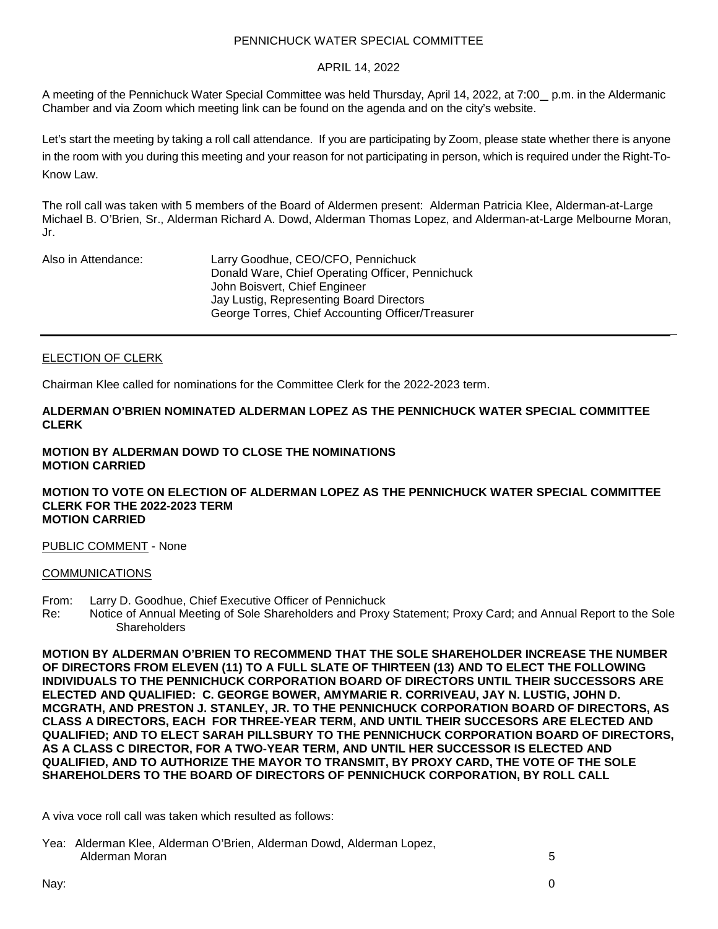## PENNICHUCK WATER SPECIAL COMMITTEE

## APRIL 14, 2022

A meeting of the Pennichuck Water Special Committee was held Thursday, April 14, 2022, at 7:00 p.m. in the Aldermanic Chamber and via Zoom which meeting link can be found on the agenda and on the city's website.

Let's start the meeting by taking a roll call attendance. If you are participating by Zoom, please state whether there is anyone in the room with you during this meeting and your reason for not participating in person, which is required under the Right-To-Know Law.

The roll call was taken with 5 members of the Board of Aldermen present: Alderman Patricia Klee, Alderman-at-Large Michael B. O'Brien, Sr., Alderman Richard A. Dowd, Alderman Thomas Lopez, and Alderman-at-Large Melbourne Moran, Jr.

| Also in Attendance: | Larry Goodhue, CEO/CFO, Pennichuck                |
|---------------------|---------------------------------------------------|
|                     | Donald Ware, Chief Operating Officer, Pennichuck  |
|                     | John Boisvert, Chief Engineer                     |
|                     | Jay Lustig, Representing Board Directors          |
|                     | George Torres, Chief Accounting Officer/Treasurer |

# ELECTION OF CLERK

Chairman Klee called for nominations for the Committee Clerk for the 2022-2023 term.

### **ALDERMAN O'BRIEN NOMINATED ALDERMAN LOPEZ AS THE PENNICHUCK WATER SPECIAL COMMITTEE CLERK**

## **MOTION BY ALDERMAN DOWD TO CLOSE THE NOMINATIONS MOTION CARRIED**

#### **MOTION TO VOTE ON ELECTION OF ALDERMAN LOPEZ AS THE PENNICHUCK WATER SPECIAL COMMITTEE CLERK FOR THE 2022-2023 TERM MOTION CARRIED**

### PUBLIC COMMENT - None

### COMMUNICATIONS

- From: Larry D. Goodhue, Chief Executive Officer of Pennichuck
- Notice of Annual Meeting of Sole Shareholders and Proxy Statement; Proxy Card; and Annual Report to the Sole **Shareholders**

**MOTION BY ALDERMAN O'BRIEN TO RECOMMEND THAT THE SOLE SHAREHOLDER INCREASE THE NUMBER OF DIRECTORS FROM ELEVEN (11) TO A FULL SLATE OF THIRTEEN (13) AND TO ELECT THE FOLLOWING INDIVIDUALS TO THE PENNICHUCK CORPORATION BOARD OF DIRECTORS UNTIL THEIR SUCCESSORS ARE ELECTED AND QUALIFIED: C. GEORGE BOWER, AMYMARIE R. CORRIVEAU, JAY N. LUSTIG, JOHN D. MCGRATH, AND PRESTON J. STANLEY, JR. TO THE PENNICHUCK CORPORATION BOARD OF DIRECTORS, AS CLASS A DIRECTORS, EACH FOR THREE-YEAR TERM, AND UNTIL THEIR SUCCESORS ARE ELECTED AND QUALIFIED; AND TO ELECT SARAH PILLSBURY TO THE PENNICHUCK CORPORATION BOARD OF DIRECTORS, AS A CLASS C DIRECTOR, FOR A TWO-YEAR TERM, AND UNTIL HER SUCCESSOR IS ELECTED AND QUALIFIED, AND TO AUTHORIZE THE MAYOR TO TRANSMIT, BY PROXY CARD, THE VOTE OF THE SOLE SHAREHOLDERS TO THE BOARD OF DIRECTORS OF PENNICHUCK CORPORATION, BY ROLL CALL**

A viva voce roll call was taken which resulted as follows:

Yea: Alderman Klee, Alderman O'Brien, Alderman Dowd, Alderman Lopez, Alderman Moran 5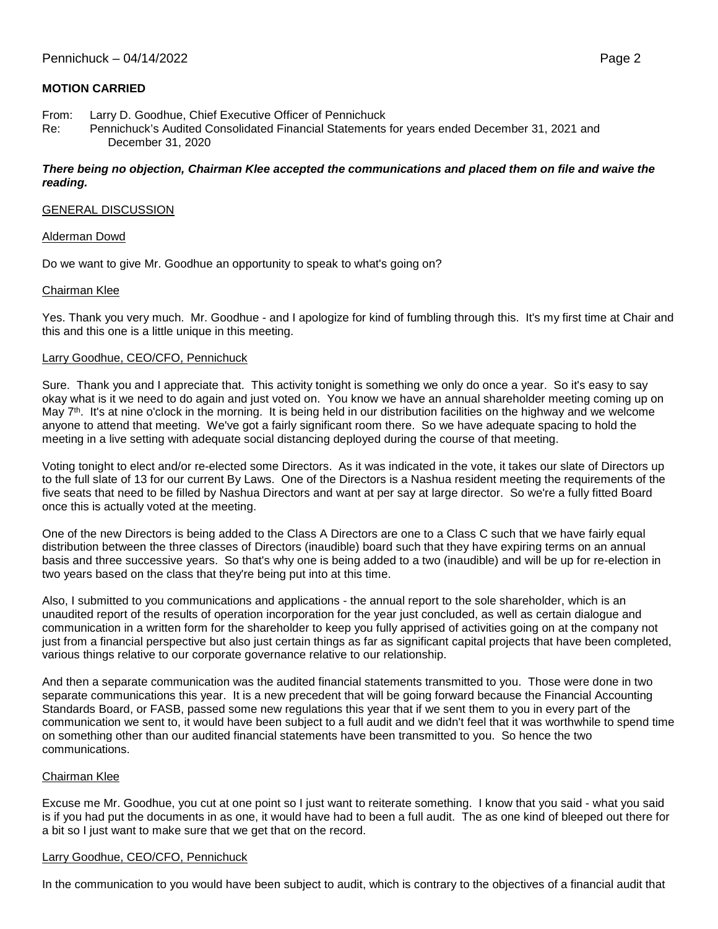# **MOTION CARRIED**

- From: Larry D. Goodhue, Chief Executive Officer of Pennichuck
- Re: Pennichuck's Audited Consolidated Financial Statements for years ended December 31, 2021 and December 31, 2020

### *There being no objection, Chairman Klee accepted the communications and placed them on file and waive the reading.*

### GENERAL DISCUSSION

#### Alderman Dowd

Do we want to give Mr. Goodhue an opportunity to speak to what's going on?

#### Chairman Klee

Yes. Thank you very much. Mr. Goodhue - and I apologize for kind of fumbling through this. It's my first time at Chair and this and this one is a little unique in this meeting.

#### Larry Goodhue, CEO/CFO, Pennichuck

Sure. Thank you and I appreciate that. This activity tonight is something we only do once a year. So it's easy to say okay what is it we need to do again and just voted on. You know we have an annual shareholder meeting coming up on May  $7<sup>th</sup>$ . It's at nine o'clock in the morning. It is being held in our distribution facilities on the highway and we welcome anyone to attend that meeting. We've got a fairly significant room there. So we have adequate spacing to hold the meeting in a live setting with adequate social distancing deployed during the course of that meeting.

Voting tonight to elect and/or re-elected some Directors. As it was indicated in the vote, it takes our slate of Directors up to the full slate of 13 for our current By Laws. One of the Directors is a Nashua resident meeting the requirements of the five seats that need to be filled by Nashua Directors and want at per say at large director. So we're a fully fitted Board once this is actually voted at the meeting.

One of the new Directors is being added to the Class A Directors are one to a Class C such that we have fairly equal distribution between the three classes of Directors (inaudible) board such that they have expiring terms on an annual basis and three successive years. So that's why one is being added to a two (inaudible) and will be up for re-election in two years based on the class that they're being put into at this time.

Also, I submitted to you communications and applications - the annual report to the sole shareholder, which is an unaudited report of the results of operation incorporation for the year just concluded, as well as certain dialogue and communication in a written form for the shareholder to keep you fully apprised of activities going on at the company not just from a financial perspective but also just certain things as far as significant capital projects that have been completed, various things relative to our corporate governance relative to our relationship.

And then a separate communication was the audited financial statements transmitted to you. Those were done in two separate communications this year. It is a new precedent that will be going forward because the Financial Accounting Standards Board, or FASB, passed some new regulations this year that if we sent them to you in every part of the communication we sent to, it would have been subject to a full audit and we didn't feel that it was worthwhile to spend time on something other than our audited financial statements have been transmitted to you. So hence the two communications.

### Chairman Klee

Excuse me Mr. Goodhue, you cut at one point so I just want to reiterate something. I know that you said - what you said is if you had put the documents in as one, it would have had to been a full audit. The as one kind of bleeped out there for a bit so I just want to make sure that we get that on the record.

### Larry Goodhue, CEO/CFO, Pennichuck

In the communication to you would have been subject to audit, which is contrary to the objectives of a financial audit that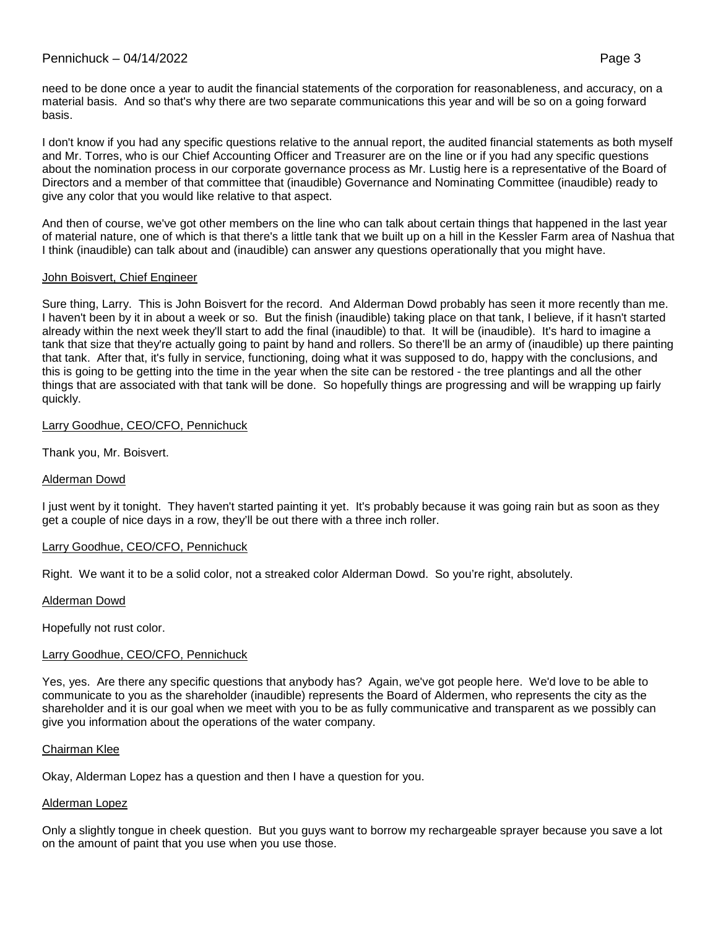# Pennichuck – 04/14/2022 Page 3

need to be done once a year to audit the financial statements of the corporation for reasonableness, and accuracy, on a material basis. And so that's why there are two separate communications this year and will be so on a going forward basis.

I don't know if you had any specific questions relative to the annual report, the audited financial statements as both myself and Mr. Torres, who is our Chief Accounting Officer and Treasurer are on the line or if you had any specific questions about the nomination process in our corporate governance process as Mr. Lustig here is a representative of the Board of Directors and a member of that committee that (inaudible) Governance and Nominating Committee (inaudible) ready to give any color that you would like relative to that aspect.

And then of course, we've got other members on the line who can talk about certain things that happened in the last year of material nature, one of which is that there's a little tank that we built up on a hill in the Kessler Farm area of Nashua that I think (inaudible) can talk about and (inaudible) can answer any questions operationally that you might have.

# John Boisvert, Chief Engineer

Sure thing, Larry. This is John Boisvert for the record. And Alderman Dowd probably has seen it more recently than me. I haven't been by it in about a week or so. But the finish (inaudible) taking place on that tank, I believe, if it hasn't started already within the next week they'll start to add the final (inaudible) to that. It will be (inaudible). It's hard to imagine a tank that size that they're actually going to paint by hand and rollers. So there'll be an army of (inaudible) up there painting that tank. After that, it's fully in service, functioning, doing what it was supposed to do, happy with the conclusions, and this is going to be getting into the time in the year when the site can be restored - the tree plantings and all the other things that are associated with that tank will be done. So hopefully things are progressing and will be wrapping up fairly quickly.

# Larry Goodhue, CEO/CFO, Pennichuck

Thank you, Mr. Boisvert.

# Alderman Dowd

I just went by it tonight. They haven't started painting it yet. It's probably because it was going rain but as soon as they get a couple of nice days in a row, they'll be out there with a three inch roller.

### Larry Goodhue, CEO/CFO, Pennichuck

Right. We want it to be a solid color, not a streaked color Alderman Dowd. So you're right, absolutely.

### Alderman Dowd

Hopefully not rust color.

# Larry Goodhue, CEO/CFO, Pennichuck

Yes, yes. Are there any specific questions that anybody has? Again, we've got people here. We'd love to be able to communicate to you as the shareholder (inaudible) represents the Board of Aldermen, who represents the city as the shareholder and it is our goal when we meet with you to be as fully communicative and transparent as we possibly can give you information about the operations of the water company.

### Chairman Klee

Okay, Alderman Lopez has a question and then I have a question for you.

# Alderman Lopez

Only a slightly tongue in cheek question. But you guys want to borrow my rechargeable sprayer because you save a lot on the amount of paint that you use when you use those.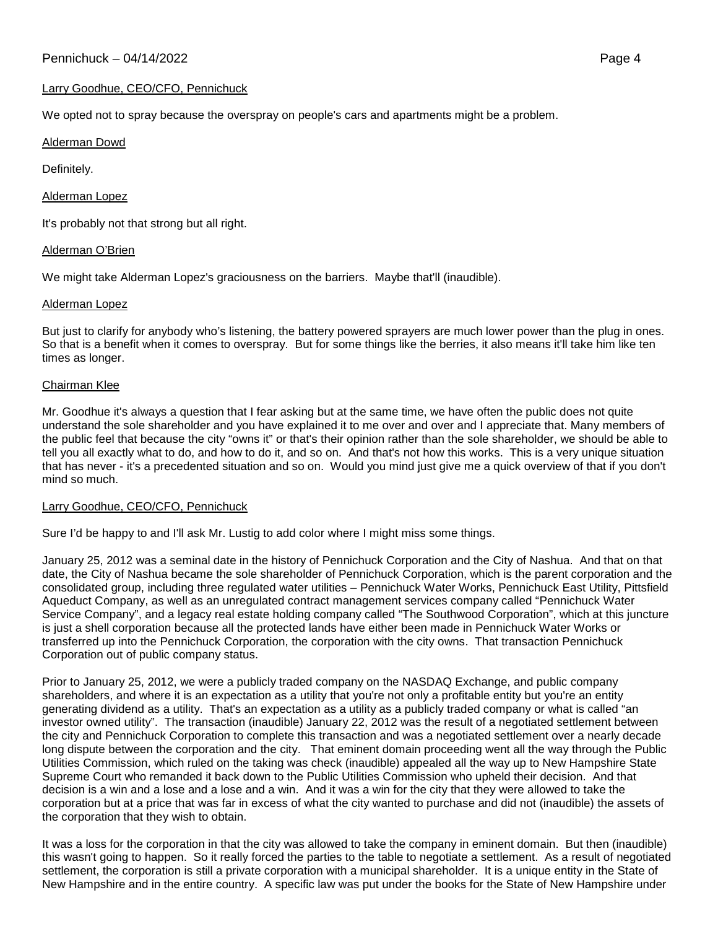## Larry Goodhue, CEO/CFO, Pennichuck

We opted not to spray because the overspray on people's cars and apartments might be a problem.

### Alderman Dowd

Definitely.

## Alderman Lopez

It's probably not that strong but all right.

## Alderman O'Brien

We might take Alderman Lopez's graciousness on the barriers. Maybe that'll (inaudible).

## Alderman Lopez

But just to clarify for anybody who's listening, the battery powered sprayers are much lower power than the plug in ones. So that is a benefit when it comes to overspray. But for some things like the berries, it also means it'll take him like ten times as longer.

## Chairman Klee

Mr. Goodhue it's always a question that I fear asking but at the same time, we have often the public does not quite understand the sole shareholder and you have explained it to me over and over and I appreciate that. Many members of the public feel that because the city "owns it" or that's their opinion rather than the sole shareholder, we should be able to tell you all exactly what to do, and how to do it, and so on. And that's not how this works. This is a very unique situation that has never - it's a precedented situation and so on. Would you mind just give me a quick overview of that if you don't mind so much.

### Larry Goodhue, CEO/CFO, Pennichuck

Sure I'd be happy to and I'll ask Mr. Lustig to add color where I might miss some things.

January 25, 2012 was a seminal date in the history of Pennichuck Corporation and the City of Nashua. And that on that date, the City of Nashua became the sole shareholder of Pennichuck Corporation, which is the parent corporation and the consolidated group, including three regulated water utilities – Pennichuck Water Works, Pennichuck East Utility, Pittsfield Aqueduct Company, as well as an unregulated contract management services company called "Pennichuck Water Service Company", and a legacy real estate holding company called "The Southwood Corporation", which at this juncture is just a shell corporation because all the protected lands have either been made in Pennichuck Water Works or transferred up into the Pennichuck Corporation, the corporation with the city owns. That transaction Pennichuck Corporation out of public company status.

Prior to January 25, 2012, we were a publicly traded company on the NASDAQ Exchange, and public company shareholders, and where it is an expectation as a utility that you're not only a profitable entity but you're an entity generating dividend as a utility. That's an expectation as a utility as a publicly traded company or what is called "an investor owned utility". The transaction (inaudible) January 22, 2012 was the result of a negotiated settlement between the city and Pennichuck Corporation to complete this transaction and was a negotiated settlement over a nearly decade long dispute between the corporation and the city. That eminent domain proceeding went all the way through the Public Utilities Commission, which ruled on the taking was check (inaudible) appealed all the way up to New Hampshire State Supreme Court who remanded it back down to the Public Utilities Commission who upheld their decision. And that decision is a win and a lose and a lose and a win. And it was a win for the city that they were allowed to take the corporation but at a price that was far in excess of what the city wanted to purchase and did not (inaudible) the assets of the corporation that they wish to obtain.

It was a loss for the corporation in that the city was allowed to take the company in eminent domain. But then (inaudible) this wasn't going to happen. So it really forced the parties to the table to negotiate a settlement. As a result of negotiated settlement, the corporation is still a private corporation with a municipal shareholder. It is a unique entity in the State of New Hampshire and in the entire country. A specific law was put under the books for the State of New Hampshire under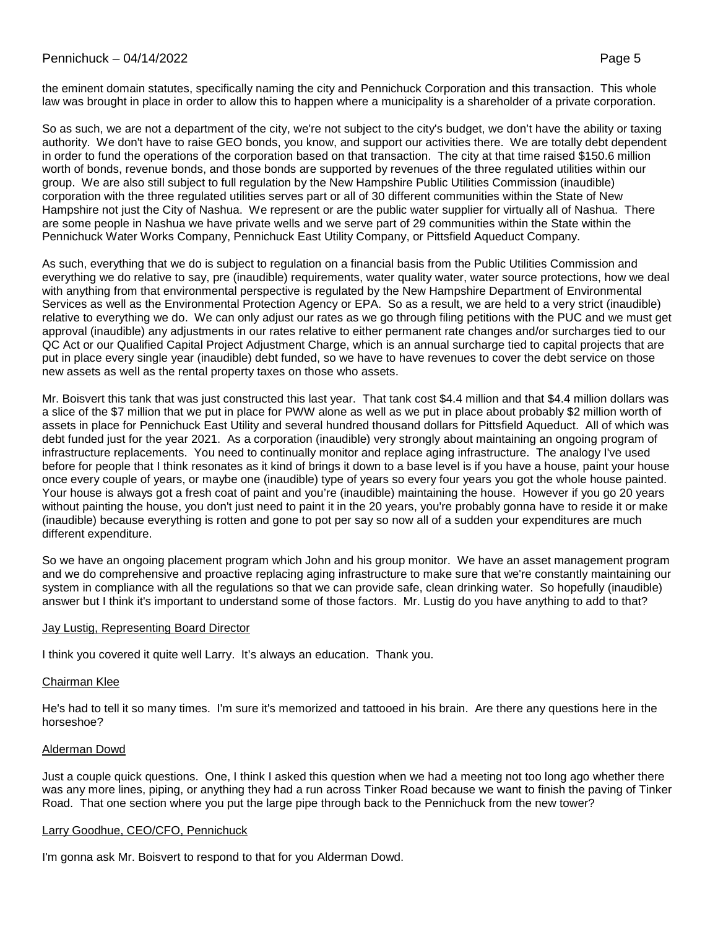the eminent domain statutes, specifically naming the city and Pennichuck Corporation and this transaction. This whole law was brought in place in order to allow this to happen where a municipality is a shareholder of a private corporation.

So as such, we are not a department of the city, we're not subject to the city's budget, we don't have the ability or taxing authority. We don't have to raise GEO bonds, you know, and support our activities there. We are totally debt dependent in order to fund the operations of the corporation based on that transaction. The city at that time raised \$150.6 million worth of bonds, revenue bonds, and those bonds are supported by revenues of the three regulated utilities within our group. We are also still subject to full regulation by the New Hampshire Public Utilities Commission (inaudible) corporation with the three regulated utilities serves part or all of 30 different communities within the State of New Hampshire not just the City of Nashua. We represent or are the public water supplier for virtually all of Nashua. There are some people in Nashua we have private wells and we serve part of 29 communities within the State within the Pennichuck Water Works Company, Pennichuck East Utility Company, or Pittsfield Aqueduct Company.

As such, everything that we do is subject to regulation on a financial basis from the Public Utilities Commission and everything we do relative to say, pre (inaudible) requirements, water quality water, water source protections, how we deal with anything from that environmental perspective is regulated by the New Hampshire Department of Environmental Services as well as the Environmental Protection Agency or EPA. So as a result, we are held to a very strict (inaudible) relative to everything we do. We can only adjust our rates as we go through filing petitions with the PUC and we must get approval (inaudible) any adjustments in our rates relative to either permanent rate changes and/or surcharges tied to our QC Act or our Qualified Capital Project Adjustment Charge, which is an annual surcharge tied to capital projects that are put in place every single year (inaudible) debt funded, so we have to have revenues to cover the debt service on those new assets as well as the rental property taxes on those who assets.

Mr. Boisvert this tank that was just constructed this last year. That tank cost \$4.4 million and that \$4.4 million dollars was a slice of the \$7 million that we put in place for PWW alone as well as we put in place about probably \$2 million worth of assets in place for Pennichuck East Utility and several hundred thousand dollars for Pittsfield Aqueduct. All of which was debt funded just for the year 2021. As a corporation (inaudible) very strongly about maintaining an ongoing program of infrastructure replacements. You need to continually monitor and replace aging infrastructure. The analogy I've used before for people that I think resonates as it kind of brings it down to a base level is if you have a house, paint your house once every couple of years, or maybe one (inaudible) type of years so every four years you got the whole house painted. Your house is always got a fresh coat of paint and you're (inaudible) maintaining the house. However if you go 20 years without painting the house, you don't just need to paint it in the 20 years, you're probably gonna have to reside it or make (inaudible) because everything is rotten and gone to pot per say so now all of a sudden your expenditures are much different expenditure.

So we have an ongoing placement program which John and his group monitor. We have an asset management program and we do comprehensive and proactive replacing aging infrastructure to make sure that we're constantly maintaining our system in compliance with all the regulations so that we can provide safe, clean drinking water. So hopefully (inaudible) answer but I think it's important to understand some of those factors. Mr. Lustig do you have anything to add to that?

### Jay Lustig, Representing Board Director

I think you covered it quite well Larry. It's always an education. Thank you.

### Chairman Klee

He's had to tell it so many times. I'm sure it's memorized and tattooed in his brain. Are there any questions here in the horseshoe?

### Alderman Dowd

Just a couple quick questions. One, I think I asked this question when we had a meeting not too long ago whether there was any more lines, piping, or anything they had a run across Tinker Road because we want to finish the paving of Tinker Road. That one section where you put the large pipe through back to the Pennichuck from the new tower?

### Larry Goodhue, CEO/CFO, Pennichuck

I'm gonna ask Mr. Boisvert to respond to that for you Alderman Dowd.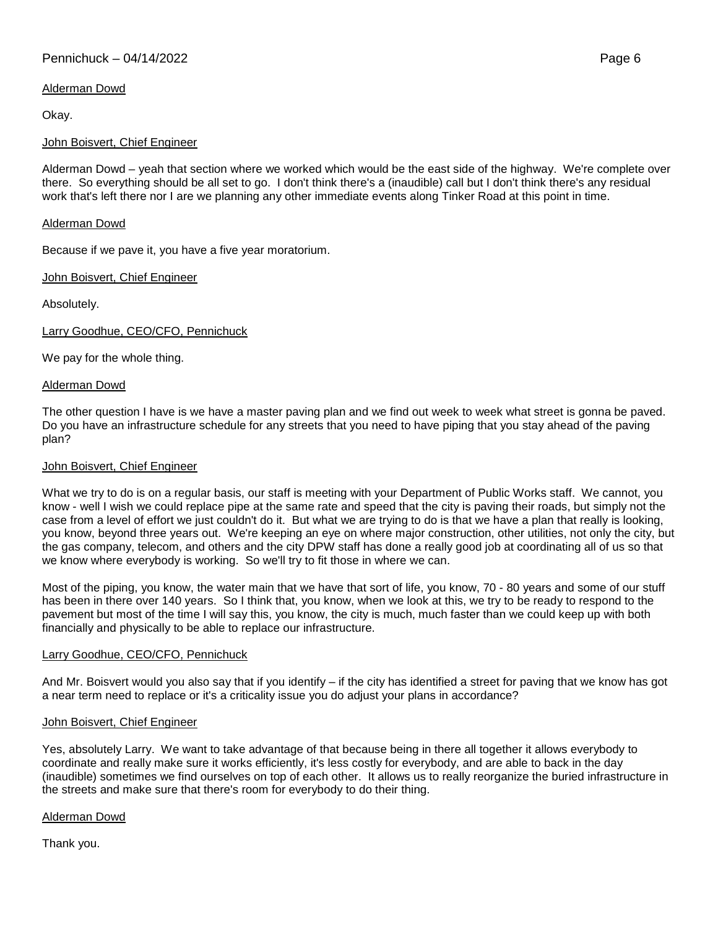# Pennichuck – 04/14/2022 Page 6

# Alderman Dowd

Okay.

## John Boisvert, Chief Engineer

Alderman Dowd – yeah that section where we worked which would be the east side of the highway. We're complete over there. So everything should be all set to go. I don't think there's a (inaudible) call but I don't think there's any residual work that's left there nor I are we planning any other immediate events along Tinker Road at this point in time.

## Alderman Dowd

Because if we pave it, you have a five year moratorium.

## John Boisvert, Chief Engineer

Absolutely.

Larry Goodhue, CEO/CFO, Pennichuck

We pay for the whole thing.

### Alderman Dowd

The other question I have is we have a master paving plan and we find out week to week what street is gonna be paved. Do you have an infrastructure schedule for any streets that you need to have piping that you stay ahead of the paving plan?

### John Boisvert, Chief Engineer

What we try to do is on a regular basis, our staff is meeting with your Department of Public Works staff. We cannot, you know - well I wish we could replace pipe at the same rate and speed that the city is paving their roads, but simply not the case from a level of effort we just couldn't do it. But what we are trying to do is that we have a plan that really is looking, you know, beyond three years out. We're keeping an eye on where major construction, other utilities, not only the city, but the gas company, telecom, and others and the city DPW staff has done a really good job at coordinating all of us so that we know where everybody is working. So we'll try to fit those in where we can.

Most of the piping, you know, the water main that we have that sort of life, you know, 70 - 80 years and some of our stuff has been in there over 140 years. So I think that, you know, when we look at this, we try to be ready to respond to the pavement but most of the time I will say this, you know, the city is much, much faster than we could keep up with both financially and physically to be able to replace our infrastructure.

### Larry Goodhue, CEO/CFO, Pennichuck

And Mr. Boisvert would you also say that if you identify – if the city has identified a street for paving that we know has got a near term need to replace or it's a criticality issue you do adjust your plans in accordance?

### John Boisvert, Chief Engineer

Yes, absolutely Larry. We want to take advantage of that because being in there all together it allows everybody to coordinate and really make sure it works efficiently, it's less costly for everybody, and are able to back in the day (inaudible) sometimes we find ourselves on top of each other. It allows us to really reorganize the buried infrastructure in the streets and make sure that there's room for everybody to do their thing.

Alderman Dowd

Thank you.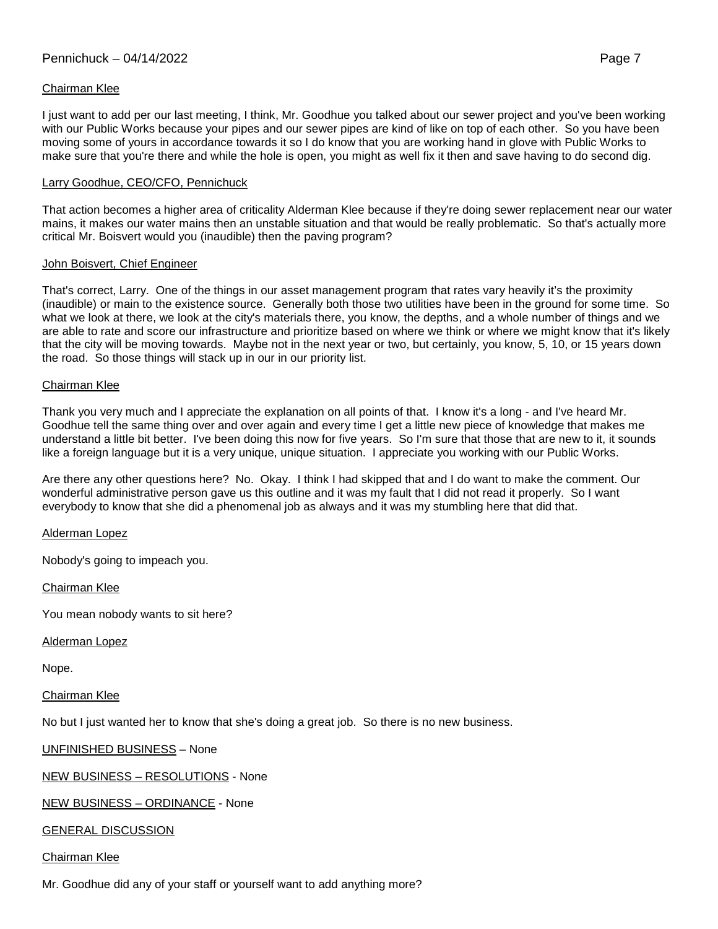# Chairman Klee

I just want to add per our last meeting, I think, Mr. Goodhue you talked about our sewer project and you've been working with our Public Works because your pipes and our sewer pipes are kind of like on top of each other. So you have been moving some of yours in accordance towards it so I do know that you are working hand in glove with Public Works to make sure that you're there and while the hole is open, you might as well fix it then and save having to do second dig.

## Larry Goodhue, CEO/CFO, Pennichuck

That action becomes a higher area of criticality Alderman Klee because if they're doing sewer replacement near our water mains, it makes our water mains then an unstable situation and that would be really problematic. So that's actually more critical Mr. Boisvert would you (inaudible) then the paving program?

## John Boisvert, Chief Engineer

That's correct, Larry. One of the things in our asset management program that rates vary heavily it's the proximity (inaudible) or main to the existence source. Generally both those two utilities have been in the ground for some time. So what we look at there, we look at the city's materials there, you know, the depths, and a whole number of things and we are able to rate and score our infrastructure and prioritize based on where we think or where we might know that it's likely that the city will be moving towards. Maybe not in the next year or two, but certainly, you know, 5, 10, or 15 years down the road. So those things will stack up in our in our priority list.

## Chairman Klee

Thank you very much and I appreciate the explanation on all points of that. I know it's a long - and I've heard Mr. Goodhue tell the same thing over and over again and every time I get a little new piece of knowledge that makes me understand a little bit better. I've been doing this now for five years. So I'm sure that those that are new to it, it sounds like a foreign language but it is a very unique, unique situation. I appreciate you working with our Public Works.

Are there any other questions here? No. Okay. I think I had skipped that and I do want to make the comment. Our wonderful administrative person gave us this outline and it was my fault that I did not read it properly. So I want everybody to know that she did a phenomenal job as always and it was my stumbling here that did that.

### Alderman Lopez

Nobody's going to impeach you.

Chairman Klee

You mean nobody wants to sit here?

Alderman Lopez

Nope.

### Chairman Klee

No but I just wanted her to know that she's doing a great job. So there is no new business.

# UNFINISHED BUSINESS – None

NEW BUSINESS – RESOLUTIONS - None

NEW BUSINESS – ORDINANCE - None

# GENERAL DISCUSSION

# Chairman Klee

Mr. Goodhue did any of your staff or yourself want to add anything more?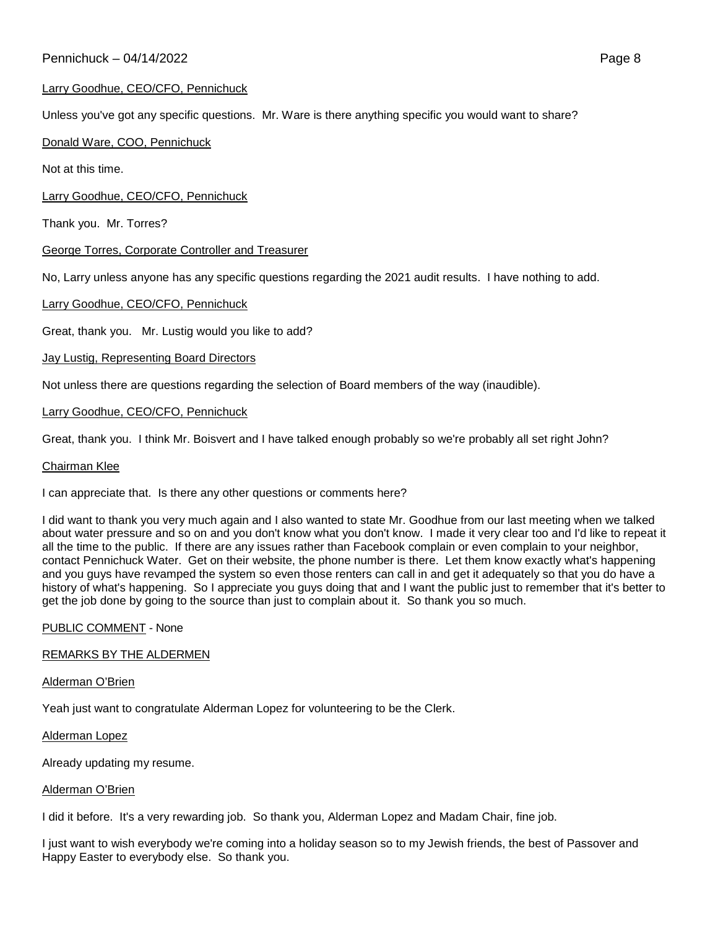# Larry Goodhue, CEO/CFO, Pennichuck

Unless you've got any specific questions. Mr. Ware is there anything specific you would want to share?

## Donald Ware, COO, Pennichuck

Not at this time.

Larry Goodhue, CEO/CFO, Pennichuck

Thank you. Mr. Torres?

## George Torres, Corporate Controller and Treasurer

No, Larry unless anyone has any specific questions regarding the 2021 audit results. I have nothing to add.

## Larry Goodhue, CEO/CFO, Pennichuck

Great, thank you. Mr. Lustig would you like to add?

## Jay Lustig, Representing Board Directors

Not unless there are questions regarding the selection of Board members of the way (inaudible).

## Larry Goodhue, CEO/CFO, Pennichuck

Great, thank you. I think Mr. Boisvert and I have talked enough probably so we're probably all set right John?

### Chairman Klee

I can appreciate that. Is there any other questions or comments here?

I did want to thank you very much again and I also wanted to state Mr. Goodhue from our last meeting when we talked about water pressure and so on and you don't know what you don't know. I made it very clear too and I'd like to repeat it all the time to the public. If there are any issues rather than Facebook complain or even complain to your neighbor, contact Pennichuck Water. Get on their website, the phone number is there. Let them know exactly what's happening and you guys have revamped the system so even those renters can call in and get it adequately so that you do have a history of what's happening. So I appreciate you guys doing that and I want the public just to remember that it's better to get the job done by going to the source than just to complain about it. So thank you so much.

### PUBLIC COMMENT - None

### REMARKS BY THE ALDERMEN

### Alderman O'Brien

Yeah just want to congratulate Alderman Lopez for volunteering to be the Clerk.

### Alderman Lopez

Already updating my resume.

### Alderman O'Brien

I did it before. It's a very rewarding job. So thank you, Alderman Lopez and Madam Chair, fine job.

I just want to wish everybody we're coming into a holiday season so to my Jewish friends, the best of Passover and Happy Easter to everybody else. So thank you.